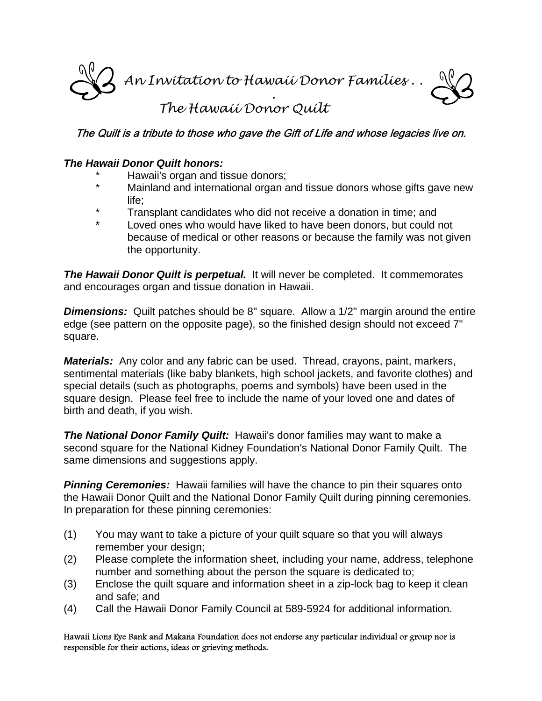

## The Quilt is a tribute to those who gave the Gift of Life and whose legacies live on.

## *The Hawaii Donor Quilt honors:*

- \* Hawaii's organ and tissue donors;<br>\* Mainland and international ergan a
- Mainland and international organ and tissue donors whose gifts gave new life;
- \* Transplant candidates who did not receive a donation in time; and<br>\* 1.0% a see who would have liked to boye been denote but sould in
- Loved ones who would have liked to have been donors, but could not because of medical or other reasons or because the family was not given the opportunity.

*The Hawaii Donor Quilt is perpetual.* It will never be completed. It commemorates and encourages organ and tissue donation in Hawaii.

**Dimensions:** Quilt patches should be 8" square. Allow a 1/2" margin around the entire edge (see pattern on the opposite page), so the finished design should not exceed 7" square.

*Materials:* Any color and any fabric can be used. Thread, crayons, paint, markers, sentimental materials (like baby blankets, high school jackets, and favorite clothes) and special details (such as photographs, poems and symbols) have been used in the square design. Please feel free to include the name of your loved one and dates of birth and death, if you wish.

**The National Donor Family Quilt:** Hawaii's donor families may want to make a second square for the National Kidney Foundation's National Donor Family Quilt. The same dimensions and suggestions apply.

**Pinning Ceremonies:** Hawaii families will have the chance to pin their squares onto the Hawaii Donor Quilt and the National Donor Family Quilt during pinning ceremonies. In preparation for these pinning ceremonies:

- (1) You may want to take a picture of your quilt square so that you will always remember your design;
- (2) Please complete the information sheet, including your name, address, telephone number and something about the person the square is dedicated to;
- (3) Enclose the quilt square and information sheet in a zip-lock bag to keep it clean and safe; and
- (4) Call the Hawaii Donor Family Council at 589-5924 for additional information.

Hawaii Lions Eye Bank and Makana Foundation does not endorse any particular individual or group nor is responsible for their actions, ideas or grieving methods.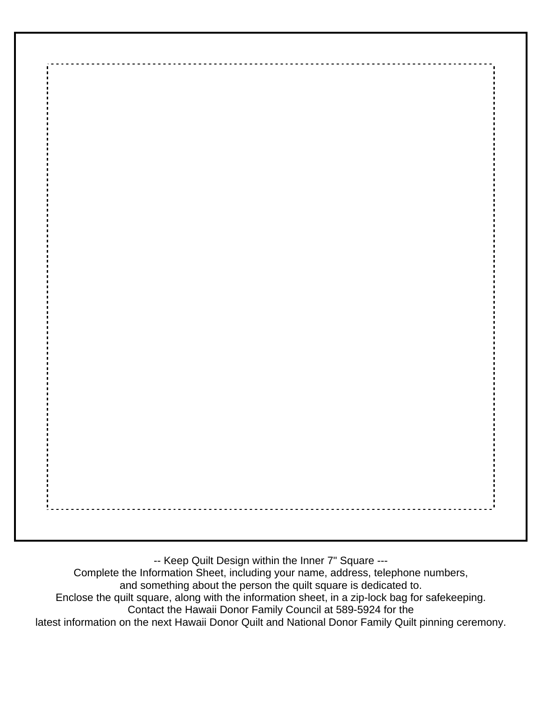

-- Keep Quilt Design within the Inner 7" Square ---

Complete the Information Sheet, including your name, address, telephone numbers,

and something about the person the quilt square is dedicated to.

Enclose the quilt square, along with the information sheet, in a zip-lock bag for safekeeping. Contact the Hawaii Donor Family Council at 589-5924 for the

latest information on the next Hawaii Donor Quilt and National Donor Family Quilt pinning ceremony.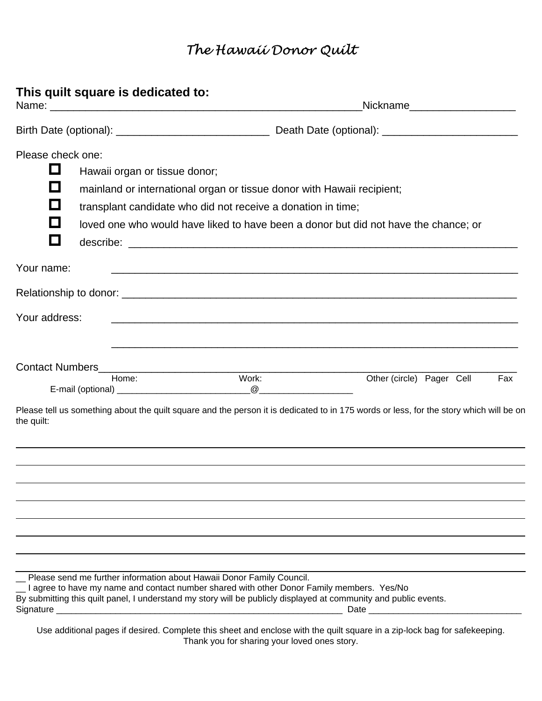## *The Hawaii Donor Quilt*

| This quilt square is dedicated to:                                                       |                                                                                                                                                                    |                                                                                                                        | Nickname______________________                                                      |                           |  |     |  |
|------------------------------------------------------------------------------------------|--------------------------------------------------------------------------------------------------------------------------------------------------------------------|------------------------------------------------------------------------------------------------------------------------|-------------------------------------------------------------------------------------|---------------------------|--|-----|--|
|                                                                                          |                                                                                                                                                                    |                                                                                                                        |                                                                                     |                           |  |     |  |
| Please check one:                                                                        |                                                                                                                                                                    |                                                                                                                        |                                                                                     |                           |  |     |  |
| П                                                                                        | Hawaii organ or tissue donor;                                                                                                                                      |                                                                                                                        |                                                                                     |                           |  |     |  |
| $\blacksquare$<br>mainland or international organ or tissue donor with Hawaii recipient; |                                                                                                                                                                    |                                                                                                                        |                                                                                     |                           |  |     |  |
| $\Box$<br>transplant candidate who did not receive a donation in time;                   |                                                                                                                                                                    |                                                                                                                        |                                                                                     |                           |  |     |  |
| П                                                                                        |                                                                                                                                                                    |                                                                                                                        | loved one who would have liked to have been a donor but did not have the chance; or |                           |  |     |  |
| $\overline{\phantom{a}}$                                                                 |                                                                                                                                                                    |                                                                                                                        |                                                                                     |                           |  |     |  |
| Your name:                                                                               |                                                                                                                                                                    | <u> 1989 - Johann Barn, mars ann an t-Amhainn an t-Amhainn an t-Amhainn an t-Amhainn an t-Amhainn an t-Amhainn an </u> |                                                                                     |                           |  |     |  |
|                                                                                          |                                                                                                                                                                    |                                                                                                                        |                                                                                     |                           |  |     |  |
| Your address:                                                                            |                                                                                                                                                                    | ,我们也不能在这里的时候,我们也不能在这里的时候,我们也不能会在这里,我们也不能会在这里,我们也不能会在这里的时候,我们也不能会在这里的时候,我们也不能会在这里                                       |                                                                                     |                           |  |     |  |
|                                                                                          | Home:                                                                                                                                                              | Work:                                                                                                                  |                                                                                     |                           |  | Fax |  |
|                                                                                          |                                                                                                                                                                    |                                                                                                                        |                                                                                     | Other (circle) Pager Cell |  |     |  |
| the quilt:                                                                               | Please tell us something about the quilt square and the person it is dedicated to in 175 words or less, for the story which will be on                             |                                                                                                                        |                                                                                     |                           |  |     |  |
|                                                                                          |                                                                                                                                                                    |                                                                                                                        |                                                                                     |                           |  |     |  |
|                                                                                          |                                                                                                                                                                    |                                                                                                                        |                                                                                     |                           |  |     |  |
|                                                                                          |                                                                                                                                                                    |                                                                                                                        |                                                                                     |                           |  |     |  |
|                                                                                          |                                                                                                                                                                    |                                                                                                                        |                                                                                     |                           |  |     |  |
|                                                                                          |                                                                                                                                                                    |                                                                                                                        |                                                                                     |                           |  |     |  |
|                                                                                          | Please send me further information about Hawaii Donor Family Council.<br>I agree to have my name and contact number shared with other Donor Family members. Yes/No |                                                                                                                        |                                                                                     |                           |  |     |  |
|                                                                                          | By submitting this quilt panel, I understand my story will be publicly displayed at community and public events.                                                   |                                                                                                                        |                                                                                     |                           |  |     |  |

Use additional pages if desired. Complete this sheet and enclose with the quilt square in a zip-lock bag for safekeeping. Thank you for sharing your loved ones story.